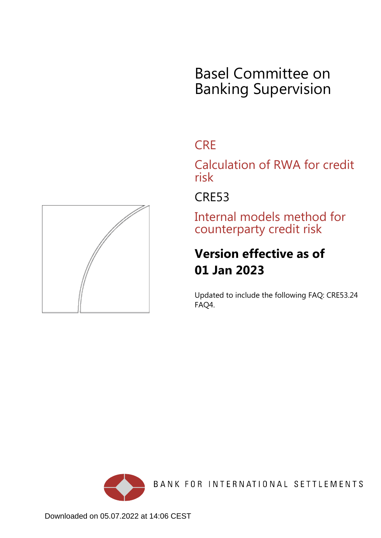# Basel Committee on Banking Supervision

## **CRE**

Calculation of RWA for credit risk

CRE53

Internal models method for counterparty credit risk

## **Version effective as of 01 Jan 2023**

Updated to include the following FAQ: CRE53.24 FAQ4.



BANK FOR INTERNATIONAL SETTLEMENTS

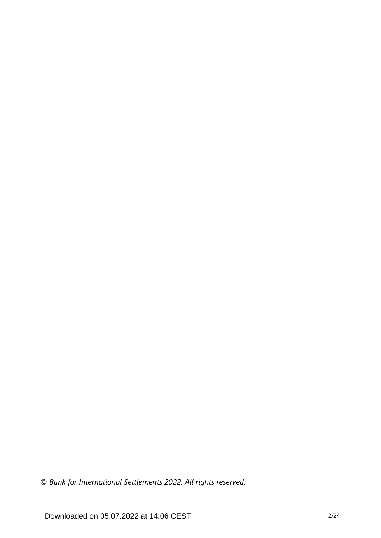*© Bank for International Settlements 2022. All rights reserved.*

Downloaded on 05.07.2022 at 14:06 CEST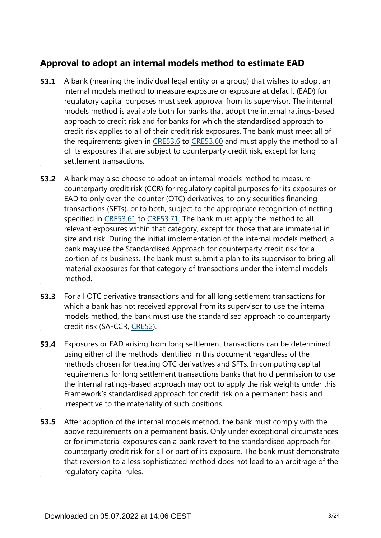## **Approval to adopt an internal models method to estimate EAD**

- A bank (meaning the individual legal entity or a group) that wishes to adopt an internal models method to measure exposure or exposure at default (EAD) for regulatory capital purposes must seek approval from its supervisor. The internal models method is available both for banks that adopt the internal ratings-based approach to credit risk and for banks for which the standardised approach to credit risk applies to all of their credit risk exposures. The bank must meet all of the requirements given in [CRE53.6](https://www.bis.org/basel_framework/chapter/CRE/53.htm?tldate=20230101&inforce=20230101&published=20200605#paragraph_CRE_53_20230101_53_6) to [CRE53.60](https://www.bis.org/basel_framework/chapter/CRE/53.htm?tldate=20230101&inforce=20230101&published=20200605#paragraph_CRE_53_20230101_53_60) and must apply the method to all of its exposures that are subject to counterparty credit risk, except for long settlement transactions. **53.1**
- A bank may also choose to adopt an internal models method to measure counterparty credit risk (CCR) for regulatory capital purposes for its exposures or EAD to only over-the-counter (OTC) derivatives, to only securities financing transactions (SFTs), or to both, subject to the appropriate recognition of netting specified in [CRE53.61](https://www.bis.org/basel_framework/chapter/CRE/53.htm?tldate=20230101&inforce=20230101&published=20200605#paragraph_CRE_53_20230101_53_61) to [CRE53.71](https://www.bis.org/basel_framework/chapter/CRE/53.htm?tldate=20230101&inforce=20230101&published=20200605#paragraph_CRE_53_20230101_53_71). The bank must apply the method to all relevant exposures within that category, except for those that are immaterial in size and risk. During the initial implementation of the internal models method, a bank may use the Standardised Approach for counterparty credit risk for a portion of its business. The bank must submit a plan to its supervisor to bring all material exposures for that category of transactions under the internal models method. **53.2**
- For all OTC derivative transactions and for all long settlement transactions for which a bank has not received approval from its supervisor to use the internal models method, the bank must use the standardised approach to counterparty credit risk (SA-CCR, [CRE52\)](https://www.bis.org/basel_framework/chapter/CRE/52.htm?tldate=20230101&inforce=20230101&published=20200605). **53.3**
- Exposures or EAD arising from long settlement transactions can be determined using either of the methods identified in this document regardless of the methods chosen for treating OTC derivatives and SFTs. In computing capital requirements for long settlement transactions banks that hold permission to use the internal ratings-based approach may opt to apply the risk weights under this Framework's standardised approach for credit risk on a permanent basis and irrespective to the materiality of such positions. **53.4**
- **53.5** After adoption of the internal models method, the bank must comply with the above requirements on a permanent basis. Only under exceptional circumstances or for immaterial exposures can a bank revert to the standardised approach for counterparty credit risk for all or part of its exposure. The bank must demonstrate that reversion to a less sophisticated method does not lead to an arbitrage of the regulatory capital rules.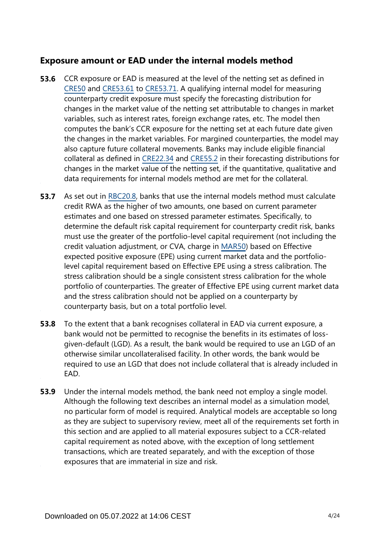## **Exposure amount or EAD under the internal models method**

- CCR exposure or EAD is measured at the level of the netting set as defined in [CRE50](https://www.bis.org/basel_framework/chapter/CRE/50.htm?tldate=20230101&inforce=20191215&published=20191215) and [CRE53.61](https://www.bis.org/basel_framework/chapter/CRE/53.htm?tldate=20230101&inforce=20230101&published=20200605#paragraph_CRE_53_20230101_53_61) to [CRE53.71](https://www.bis.org/basel_framework/chapter/CRE/53.htm?tldate=20230101&inforce=20230101&published=20200605#paragraph_CRE_53_20230101_53_71). A qualifying internal model for measuring counterparty credit exposure must specify the forecasting distribution for changes in the market value of the netting set attributable to changes in market variables, such as interest rates, foreign exchange rates, etc. The model then computes the bank's CCR exposure for the netting set at each future date given the changes in the market variables. For margined counterparties, the model may also capture future collateral movements. Banks may include eligible financial collateral as defined in [CRE22.34](https://www.bis.org/basel_framework/chapter/CRE/22.htm?tldate=20230101&inforce=20230101&published=20201126#paragraph_CRE_22_20230101_22_34) and [CRE55.2](https://www.bis.org/basel_framework/chapter/CRE/55.htm?tldate=20230101&inforce=20230101&published=20200327#paragraph_CRE_55_20230101_55_2) in their forecasting distributions for changes in the market value of the netting set, if the quantitative, qualitative and data requirements for internal models method are met for the collateral. **53.6**
- As set out in [RBC20.8,](https://www.bis.org/basel_framework/chapter/RBC/20.htm?tldate=20230101&inforce=20230101&published=20201126#paragraph_RBC_20_20230101_20_8) banks that use the internal models method must calculate credit RWA as the higher of two amounts, one based on current parameter estimates and one based on stressed parameter estimates. Specifically, to determine the default risk capital requirement for counterparty credit risk, banks must use the greater of the portfolio-level capital requirement (not including the credit valuation adjustment, or CVA, charge in [MAR50](https://www.bis.org/basel_framework/chapter/MAR/50.htm?tldate=20230101&inforce=20230101&published=20200708)) based on Effective expected positive exposure (EPE) using current market data and the portfoliolevel capital requirement based on Effective EPE using a stress calibration. The stress calibration should be a single consistent stress calibration for the whole portfolio of counterparties. The greater of Effective EPE using current market data and the stress calibration should not be applied on a counterparty by counterparty basis, but on a total portfolio level. **53.7**
- To the extent that a bank recognises collateral in EAD via current exposure, a bank would not be permitted to recognise the benefits in its estimates of lossgiven-default (LGD). As a result, the bank would be required to use an LGD of an otherwise similar uncollateralised facility. In other words, the bank would be required to use an LGD that does not include collateral that is already included in EAD. **53.8**
- Under the internal models method, the bank need not employ a single model. Although the following text describes an internal model as a simulation model, no particular form of model is required. Analytical models are acceptable so long as they are subject to supervisory review, meet all of the requirements set forth in this section and are applied to all material exposures subject to a CCR-related capital requirement as noted above, with the exception of long settlement transactions, which are treated separately, and with the exception of those exposures that are immaterial in size and risk. **53.9**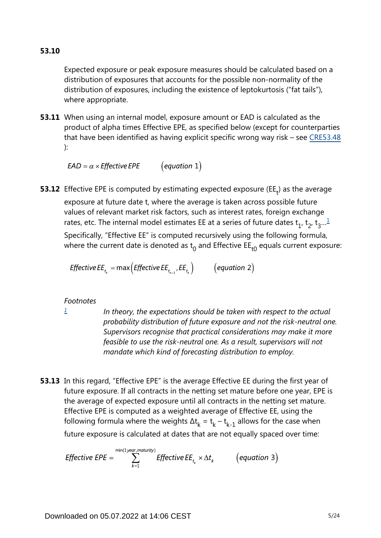Expected exposure or peak exposure measures should be calculated based on a distribution of exposures that accounts for the possible non-normality of the distribution of exposures, including the existence of leptokurtosis ("fat tails"), where appropriate.

**53.11** When using an internal model, exposure amount or EAD is calculated as the product of alpha times Effective EPE, as specified below (except for counterparties that have been identified as having explicit specific wrong way risk – see [CRE53.48](https://www.bis.org/basel_framework/chapter/CRE/53.htm?tldate=20230101&inforce=20230101&published=20200605#paragraph_CRE_53_20230101_53_48) ):

 $\left($  equation 1)  $EAD = \alpha \times Effective EPE$ 

<span id="page-4-1"></span>**53.12** Effective EPE is computed by estimating expected exposure (EE<sub>t</sub>) as the average exposure at future date t, where the average is taken across possible future values of relevant market risk factors, such as interest rates, foreign exchange rates, etc. The internal model estimates EE at a series of future dates  $\mathsf{t}_1^{}$  $\mathsf{t}_1^{}$  $\mathsf{t}_1^{}$ ,  $\mathsf{t}_2^{}$ ,  $\mathsf{t}_3^{}...^{\underline{1}}$ Specifically, "Effective EE" is computed recursively using the following formula,

where the current date is denoted as  $t_0$  and Effective EE<sub>t0</sub> equals current exposure:

*Effective EE*<sub>t<sub>*k*</sub></sub> = max (*Effective EE*<sub>t<sub>*k*-1</sub></sub>, *EE*<sub>t</sub><sub>k</sub></sub>) (equation 2)

#### *Footnotes*

<span id="page-4-0"></span>*[1](#page-4-1)*

*In theory, the expectations should be taken with respect to the actual probability distribution of future exposure and not the risk-neutral one. Supervisors recognise that practical considerations may make it more feasible to use the risk-neutral one. As a result, supervisors will not mandate which kind of forecasting distribution to employ.*

**53.13** In this regard, "Effective EPE" is the average Effective EE during the first year of future exposure. If all contracts in the netting set mature before one year, EPE is the average of expected exposure until all contracts in the netting set mature. Effective EPE is computed as a weighted average of Effective EE, using the following formula where the weights  $\Delta t_k = t_k - t_{k-1}$  allows for the case when future exposure is calculated at dates that are not equally spaced over time:

$$
\text{Effective EPE} = \sum_{k=1}^{\min(1 \text{ year}, \text{matrix})} \text{Effective EE}_{t_k} \times \Delta t_k \qquad \text{(equation 3)}
$$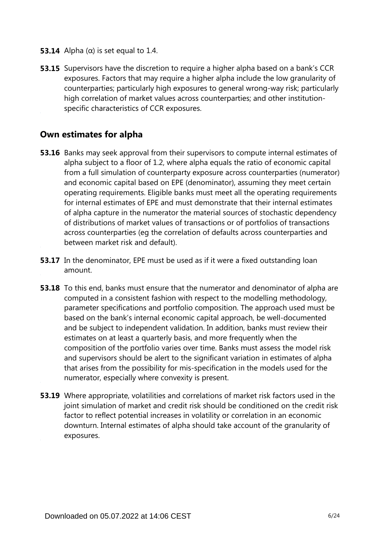- **53.14** Alpha ( $\alpha$ ) is set equal to 1.4.
- **53.15** Supervisors have the discretion to require a higher alpha based on a bank's CCR exposures. Factors that may require a higher alpha include the low granularity of counterparties; particularly high exposures to general wrong-way risk; particularly high correlation of market values across counterparties; and other institutionspecific characteristics of CCR exposures.

#### **Own estimates for alpha**

- **53.16** Banks may seek approval from their supervisors to compute internal estimates of alpha subject to a floor of 1.2, where alpha equals the ratio of economic capital from a full simulation of counterparty exposure across counterparties (numerator) and economic capital based on EPE (denominator), assuming they meet certain operating requirements. Eligible banks must meet all the operating requirements for internal estimates of EPE and must demonstrate that their internal estimates of alpha capture in the numerator the material sources of stochastic dependency of distributions of market values of transactions or of portfolios of transactions across counterparties (eg the correlation of defaults across counterparties and between market risk and default).
- **53.17** In the denominator, EPE must be used as if it were a fixed outstanding loan amount.
- **53.18** To this end, banks must ensure that the numerator and denominator of alpha are computed in a consistent fashion with respect to the modelling methodology, parameter specifications and portfolio composition. The approach used must be based on the bank's internal economic capital approach, be well-documented and be subject to independent validation. In addition, banks must review their estimates on at least a quarterly basis, and more frequently when the composition of the portfolio varies over time. Banks must assess the model risk and supervisors should be alert to the significant variation in estimates of alpha that arises from the possibility for mis-specification in the models used for the numerator, especially where convexity is present.
- **53.19** Where appropriate, volatilities and correlations of market risk factors used in the joint simulation of market and credit risk should be conditioned on the credit risk factor to reflect potential increases in volatility or correlation in an economic downturn. Internal estimates of alpha should take account of the granularity of exposures.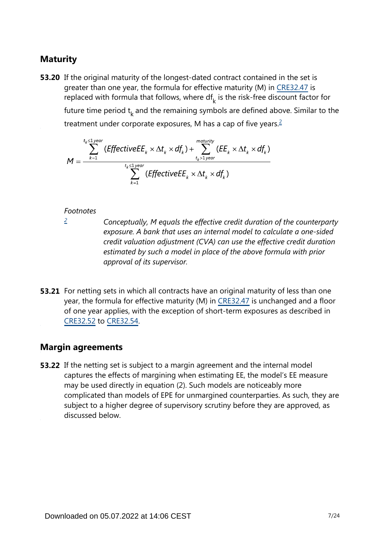## **Maturity**

<span id="page-6-1"></span>**53.20** If the original maturity of the longest-dated contract contained in the set is greater than one year, the formula for effective maturity (M) in [CRE32.47](https://www.bis.org/basel_framework/chapter/CRE/32.htm?tldate=20230101&inforce=20230101&published=20200327#paragraph_CRE_32_20230101_32_47) is replaced with formula that follows, where  $df_k$  is the risk-free discount factor for future time period  $t_k$  and the remaining symbols are defined above. Similar to the treatment under corporate exposures, M has a cap of five years.<sup>[2](#page-6-0)</sup>

$$
M = \frac{\sum_{k=1}^{t_k \leq 1 \text{ year}} (EffectiveE E_k \times \Delta t_k \times df_k) + \sum_{t_k > 1 \text{ year}}^{matrix} (EE_k \times \Delta t_k \times df_k)}{\sum_{k=1}^{t_k \leq 1 \text{ year}} (EffectiveE E_k \times \Delta t_k \times df_k)}
$$

#### *Footnotes*

<span id="page-6-0"></span>*[2](#page-6-1)*

*Conceptually, M equals the effective credit duration of the counterparty exposure. A bank that uses an internal model to calculate a one-sided credit valuation adjustment (CVA) can use the effective credit duration estimated by such a model in place of the above formula with prior approval of its supervisor.*

**53.21** For netting sets in which all contracts have an original maturity of less than one year, the formula for effective maturity (M) in [CRE32.47](https://www.bis.org/basel_framework/chapter/CRE/32.htm?tldate=20230101&inforce=20230101&published=20200327#paragraph_CRE_32_20230101_32_47) is unchanged and a floor of one year applies, with the exception of short-term exposures as described in [CRE32.52](https://www.bis.org/basel_framework/chapter/CRE/32.htm?tldate=20230101&inforce=20230101&published=20200327#paragraph_CRE_32_20230101_32_52) to [CRE32.54](https://www.bis.org/basel_framework/chapter/CRE/32.htm?tldate=20230101&inforce=20230101&published=20200327#paragraph_CRE_32_20230101_32_54).

#### **Margin agreements**

**53.22** If the netting set is subject to a margin agreement and the internal model captures the effects of margining when estimating EE, the model's EE measure may be used directly in equation (2). Such models are noticeably more complicated than models of EPE for unmargined counterparties. As such, they are subject to a higher degree of supervisory scrutiny before they are approved, as discussed below.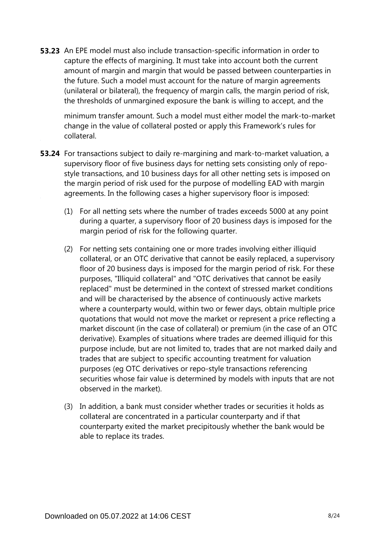**53.23** An EPE model must also include transaction-specific information in order to capture the effects of margining. It must take into account both the current amount of margin and margin that would be passed between counterparties in the future. Such a model must account for the nature of margin agreements (unilateral or bilateral), the frequency of margin calls, the margin period of risk, the thresholds of unmargined exposure the bank is willing to accept, and the

minimum transfer amount. Such a model must either model the mark-to-market change in the value of collateral posted or apply this Framework's rules for collateral.

- **53.24** For transactions subject to daily re-margining and mark-to-market valuation, a supervisory floor of five business days for netting sets consisting only of repostyle transactions, and 10 business days for all other netting sets is imposed on the margin period of risk used for the purpose of modelling EAD with margin agreements. In the following cases a higher supervisory floor is imposed:
	- (1) For all netting sets where the number of trades exceeds 5000 at any point during a quarter, a supervisory floor of 20 business days is imposed for the margin period of risk for the following quarter.
	- (2) For netting sets containing one or more trades involving either illiquid collateral, or an OTC derivative that cannot be easily replaced, a supervisory floor of 20 business days is imposed for the margin period of risk. For these purposes, "Illiquid collateral" and "OTC derivatives that cannot be easily replaced" must be determined in the context of stressed market conditions and will be characterised by the absence of continuously active markets where a counterparty would, within two or fewer days, obtain multiple price quotations that would not move the market or represent a price reflecting a market discount (in the case of collateral) or premium (in the case of an OTC derivative). Examples of situations where trades are deemed illiquid for this purpose include, but are not limited to, trades that are not marked daily and trades that are subject to specific accounting treatment for valuation purposes (eg OTC derivatives or repo-style transactions referencing securities whose fair value is determined by models with inputs that are not observed in the market).
	- (3) In addition, a bank must consider whether trades or securities it holds as collateral are concentrated in a particular counterparty and if that counterparty exited the market precipitously whether the bank would be able to replace its trades.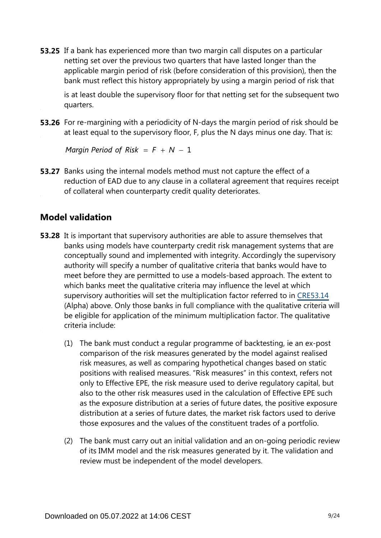**53.25** If a bank has experienced more than two margin call disputes on a particular netting set over the previous two quarters that have lasted longer than the applicable margin period of risk (before consideration of this provision), then the bank must reflect this history appropriately by using a margin period of risk that

is at least double the supervisory floor for that netting set for the subsequent two quarters.

**53.26** For re-margining with a periodicity of N-days the margin period of risk should be at least equal to the supervisory floor, F, plus the N days minus one day. That is:

Margin Period of Risk =  $F + N - 1$ 

**53.27** Banks using the internal models method must not capture the effect of a reduction of EAD due to any clause in a collateral agreement that requires receipt of collateral when counterparty credit quality deteriorates.

### **Model validation**

- **53.28** It is important that supervisory authorities are able to assure themselves that banks using models have counterparty credit risk management systems that are conceptually sound and implemented with integrity. Accordingly the supervisory authority will specify a number of qualitative criteria that banks would have to meet before they are permitted to use a models-based approach. The extent to which banks meet the qualitative criteria may influence the level at which supervisory authorities will set the multiplication factor referred to in [CRE53.14](https://www.bis.org/basel_framework/chapter/CRE/53.htm?tldate=20230101&inforce=20230101&published=20200605#paragraph_CRE_53_20230101_53_14) (Alpha) above. Only those banks in full compliance with the qualitative criteria will be eligible for application of the minimum multiplication factor. The qualitative criteria include:
	- (1) The bank must conduct a regular programme of backtesting, ie an ex-post comparison of the risk measures generated by the model against realised risk measures, as well as comparing hypothetical changes based on static positions with realised measures. "Risk measures" in this context, refers not only to Effective EPE, the risk measure used to derive regulatory capital, but also to the other risk measures used in the calculation of Effective EPE such as the exposure distribution at a series of future dates, the positive exposure distribution at a series of future dates, the market risk factors used to derive those exposures and the values of the constituent trades of a portfolio.
	- (2) The bank must carry out an initial validation and an on-going periodic review of its IMM model and the risk measures generated by it. The validation and review must be independent of the model developers.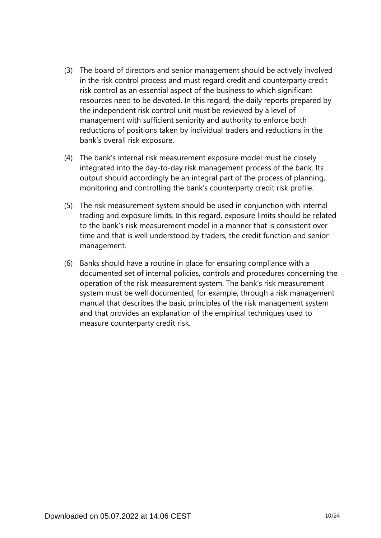- (3) The board of directors and senior management should be actively involved in the risk control process and must regard credit and counterparty credit risk control as an essential aspect of the business to which significant resources need to be devoted. In this regard, the daily reports prepared by the independent risk control unit must be reviewed by a level of management with sufficient seniority and authority to enforce both reductions of positions taken by individual traders and reductions in the bank's overall risk exposure.
- (4) The bank's internal risk measurement exposure model must be closely integrated into the day-to-day risk management process of the bank. Its output should accordingly be an integral part of the process of planning, monitoring and controlling the bank's counterparty credit risk profile.
- (5) The risk measurement system should be used in conjunction with internal trading and exposure limits. In this regard, exposure limits should be related to the bank's risk measurement model in a manner that is consistent over time and that is well understood by traders, the credit function and senior management.
- (6) Banks should have a routine in place for ensuring compliance with a documented set of internal policies, controls and procedures concerning the operation of the risk measurement system. The bank's risk measurement system must be well documented, for example, through a risk management manual that describes the basic principles of the risk management system and that provides an explanation of the empirical techniques used to measure counterparty credit risk.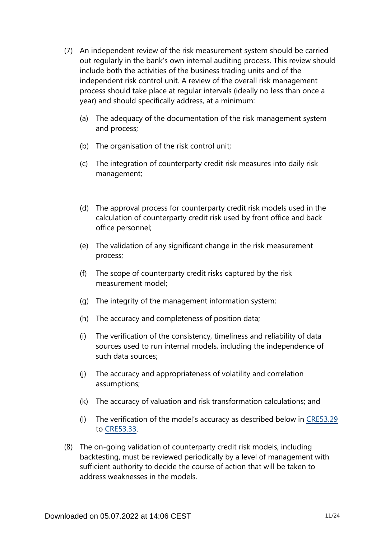- (7) An independent review of the risk measurement system should be carried out regularly in the bank's own internal auditing process. This review should include both the activities of the business trading units and of the independent risk control unit. A review of the overall risk management process should take place at regular intervals (ideally no less than once a year) and should specifically address, at a minimum:
	- (a) The adequacy of the documentation of the risk management system and process;
	- (b) The organisation of the risk control unit;
	- (c) The integration of counterparty credit risk measures into daily risk management;
	- (d) The approval process for counterparty credit risk models used in the calculation of counterparty credit risk used by front office and back office personnel;
	- (e) The validation of any significant change in the risk measurement process;
	- (f) The scope of counterparty credit risks captured by the risk measurement model;
	- (g) The integrity of the management information system;
	- (h) The accuracy and completeness of position data;
	- (i) The verification of the consistency, timeliness and reliability of data sources used to run internal models, including the independence of such data sources;
	- (j) The accuracy and appropriateness of volatility and correlation assumptions;
	- (k) The accuracy of valuation and risk transformation calculations; and
	- (l) The verification of the model's accuracy as described below in [CRE53.29](https://www.bis.org/basel_framework/chapter/CRE/53.htm?tldate=20230101&inforce=20230101&published=20200605#paragraph_CRE_53_20230101_53_29) to [CRE53.33](https://www.bis.org/basel_framework/chapter/CRE/53.htm?tldate=20230101&inforce=20230101&published=20200605#paragraph_CRE_53_20230101_53_33).
- (8) The on-going validation of counterparty credit risk models, including backtesting, must be reviewed periodically by a level of management with sufficient authority to decide the course of action that will be taken to address weaknesses in the models.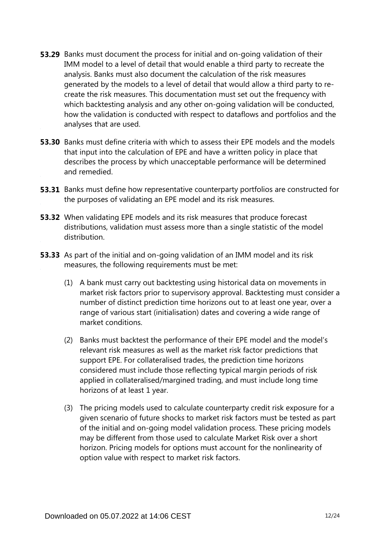- **53.29** Banks must document the process for initial and on-going validation of their IMM model to a level of detail that would enable a third party to recreate the analysis. Banks must also document the calculation of the risk measures generated by the models to a level of detail that would allow a third party to recreate the risk measures. This documentation must set out the frequency with which backtesting analysis and any other on-going validation will be conducted, how the validation is conducted with respect to dataflows and portfolios and the analyses that are used.
- **53.30** Banks must define criteria with which to assess their EPE models and the models that input into the calculation of EPE and have a written policy in place that describes the process by which unacceptable performance will be determined and remedied.
- **53.31** Banks must define how representative counterparty portfolios are constructed for the purposes of validating an EPE model and its risk measures.
- **53.32** When validating EPE models and its risk measures that produce forecast distributions, validation must assess more than a single statistic of the model distribution.
- **53.33** As part of the initial and on-going validation of an IMM model and its risk measures, the following requirements must be met:
	- (1) A bank must carry out backtesting using historical data on movements in market risk factors prior to supervisory approval. Backtesting must consider a number of distinct prediction time horizons out to at least one year, over a range of various start (initialisation) dates and covering a wide range of market conditions.
	- (2) Banks must backtest the performance of their EPE model and the model's relevant risk measures as well as the market risk factor predictions that support EPE. For collateralised trades, the prediction time horizons considered must include those reflecting typical margin periods of risk applied in collateralised/margined trading, and must include long time horizons of at least 1 year.
	- (3) The pricing models used to calculate counterparty credit risk exposure for a given scenario of future shocks to market risk factors must be tested as part of the initial and on-going model validation process. These pricing models may be different from those used to calculate Market Risk over a short horizon. Pricing models for options must account for the nonlinearity of option value with respect to market risk factors.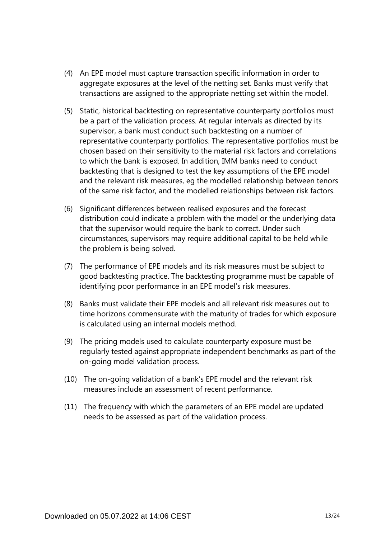- (4) An EPE model must capture transaction specific information in order to aggregate exposures at the level of the netting set. Banks must verify that transactions are assigned to the appropriate netting set within the model.
- (5) Static, historical backtesting on representative counterparty portfolios must be a part of the validation process. At regular intervals as directed by its supervisor, a bank must conduct such backtesting on a number of representative counterparty portfolios. The representative portfolios must be chosen based on their sensitivity to the material risk factors and correlations to which the bank is exposed. In addition, IMM banks need to conduct backtesting that is designed to test the key assumptions of the EPE model and the relevant risk measures, eg the modelled relationship between tenors of the same risk factor, and the modelled relationships between risk factors.
- (6) Significant differences between realised exposures and the forecast distribution could indicate a problem with the model or the underlying data that the supervisor would require the bank to correct. Under such circumstances, supervisors may require additional capital to be held while the problem is being solved.
- (7) The performance of EPE models and its risk measures must be subject to good backtesting practice. The backtesting programme must be capable of identifying poor performance in an EPE model's risk measures.
- (8) Banks must validate their EPE models and all relevant risk measures out to time horizons commensurate with the maturity of trades for which exposure is calculated using an internal models method.
- (9) The pricing models used to calculate counterparty exposure must be regularly tested against appropriate independent benchmarks as part of the on-going model validation process.
- (10) The on-going validation of a bank's EPE model and the relevant risk measures include an assessment of recent performance.
- (11) The frequency with which the parameters of an EPE model are updated needs to be assessed as part of the validation process.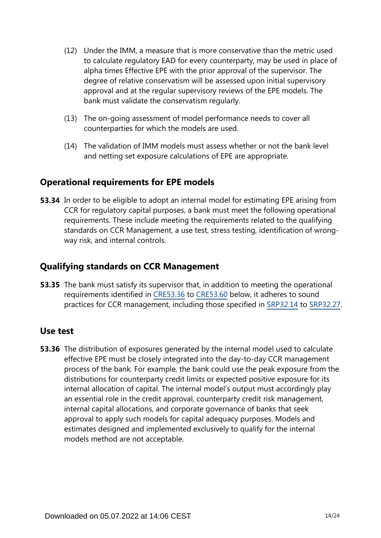- (12) Under the IMM, a measure that is more conservative than the metric used to calculate regulatory EAD for every counterparty, may be used in place of alpha times Effective EPE with the prior approval of the supervisor. The degree of relative conservatism will be assessed upon initial supervisory approval and at the regular supervisory reviews of the EPE models. The bank must validate the conservatism regularly.
- (13) The on-going assessment of model performance needs to cover all counterparties for which the models are used.
- (14) The validation of IMM models must assess whether or not the bank level and netting set exposure calculations of EPE are appropriate.

## **Operational requirements for EPE models**

**53.34** In order to be eligible to adopt an internal model for estimating EPE arising from CCR for regulatory capital purposes, a bank must meet the following operational requirements. These include meeting the requirements related to the qualifying standards on CCR Management, a use test, stress testing, identification of wrongway risk, and internal controls.

## **Qualifying standards on CCR Management**

**53.35** The bank must satisfy its supervisor that, in addition to meeting the operational requirements identified in [CRE53.36](https://www.bis.org/basel_framework/chapter/CRE/53.htm?tldate=20230101&inforce=20230101&published=20200605#paragraph_CRE_53_20230101_53_36) to [CRE53.60](https://www.bis.org/basel_framework/chapter/CRE/53.htm?tldate=20230101&inforce=20230101&published=20200605#paragraph_CRE_53_20230101_53_60) below, it adheres to sound practices for CCR management, including those specified in [SRP32.14](https://www.bis.org/basel_framework/chapter/SRP/32.htm?tldate=20230101&inforce=20230101&published=20200327#paragraph_SRP_32_20230101_32_14) to [SRP32.27](https://www.bis.org/basel_framework/chapter/SRP/32.htm?tldate=20230101&inforce=20230101&published=20200327#paragraph_SRP_32_20230101_32_27).

## **Use test**

**53.36** The distribution of exposures generated by the internal model used to calculate effective EPE must be closely integrated into the day-to-day CCR management process of the bank. For example, the bank could use the peak exposure from the distributions for counterparty credit limits or expected positive exposure for its internal allocation of capital. The internal model's output must accordingly play an essential role in the credit approval, counterparty credit risk management, internal capital allocations, and corporate governance of banks that seek approval to apply such models for capital adequacy purposes. Models and estimates designed and implemented exclusively to qualify for the internal models method are not acceptable.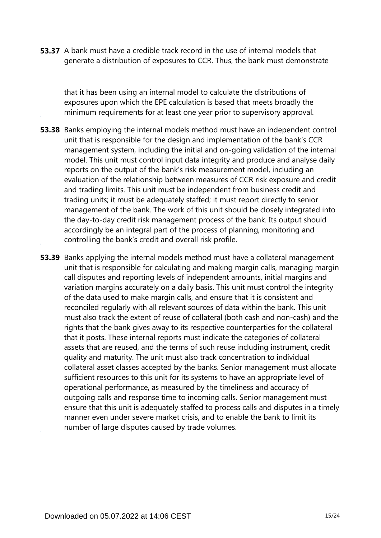**53.37** A bank must have a credible track record in the use of internal models that generate a distribution of exposures to CCR. Thus, the bank must demonstrate

that it has been using an internal model to calculate the distributions of exposures upon which the EPE calculation is based that meets broadly the minimum requirements for at least one year prior to supervisory approval.

- **53.38** Banks employing the internal models method must have an independent control unit that is responsible for the design and implementation of the bank's CCR management system, including the initial and on-going validation of the internal model. This unit must control input data integrity and produce and analyse daily reports on the output of the bank's risk measurement model, including an evaluation of the relationship between measures of CCR risk exposure and credit and trading limits. This unit must be independent from business credit and trading units; it must be adequately staffed; it must report directly to senior management of the bank. The work of this unit should be closely integrated into the day-to-day credit risk management process of the bank. Its output should accordingly be an integral part of the process of planning, monitoring and controlling the bank's credit and overall risk profile.
- **53.39** Banks applying the internal models method must have a collateral management unit that is responsible for calculating and making margin calls, managing margin call disputes and reporting levels of independent amounts, initial margins and variation margins accurately on a daily basis. This unit must control the integrity of the data used to make margin calls, and ensure that it is consistent and reconciled regularly with all relevant sources of data within the bank. This unit must also track the extent of reuse of collateral (both cash and non-cash) and the rights that the bank gives away to its respective counterparties for the collateral that it posts. These internal reports must indicate the categories of collateral assets that are reused, and the terms of such reuse including instrument, credit quality and maturity. The unit must also track concentration to individual collateral asset classes accepted by the banks. Senior management must allocate sufficient resources to this unit for its systems to have an appropriate level of operational performance, as measured by the timeliness and accuracy of outgoing calls and response time to incoming calls. Senior management must ensure that this unit is adequately staffed to process calls and disputes in a timely manner even under severe market crisis, and to enable the bank to limit its number of large disputes caused by trade volumes.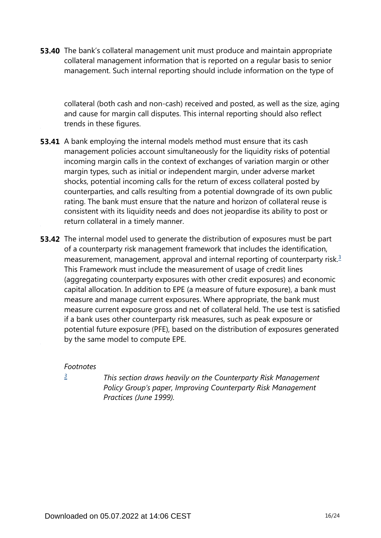**53.40** The bank's collateral management unit must produce and maintain appropriate collateral management information that is reported on a regular basis to senior management. Such internal reporting should include information on the type of

collateral (both cash and non-cash) received and posted, as well as the size, aging and cause for margin call disputes. This internal reporting should also reflect trends in these figures.

- **53.41** A bank employing the internal models method must ensure that its cash management policies account simultaneously for the liquidity risks of potential incoming margin calls in the context of exchanges of variation margin or other margin types, such as initial or independent margin, under adverse market shocks, potential incoming calls for the return of excess collateral posted by counterparties, and calls resulting from a potential downgrade of its own public rating. The bank must ensure that the nature and horizon of collateral reuse is consistent with its liquidity needs and does not jeopardise its ability to post or return collateral in a timely manner.
- <span id="page-15-1"></span>**53.42** The internal model used to generate the distribution of exposures must be part of a counterparty risk management framework that includes the identification, measurement, management, approval and internal reporting of counterparty risk.<sup>[3](#page-15-0)</sup> This Framework must include the measurement of usage of credit lines (aggregating counterparty exposures with other credit exposures) and economic capital allocation. In addition to EPE (a measure of future exposure), a bank must measure and manage current exposures. Where appropriate, the bank must measure current exposure gross and net of collateral held. The use test is satisfied if a bank uses other counterparty risk measures, such as peak exposure or potential future exposure (PFE), based on the distribution of exposures generated by the same model to compute EPE.

#### *Footnotes*

<span id="page-15-0"></span>*[3](#page-15-1)*

*This section draws heavily on the Counterparty Risk Management Policy Group's paper, Improving Counterparty Risk Management Practices (June 1999).*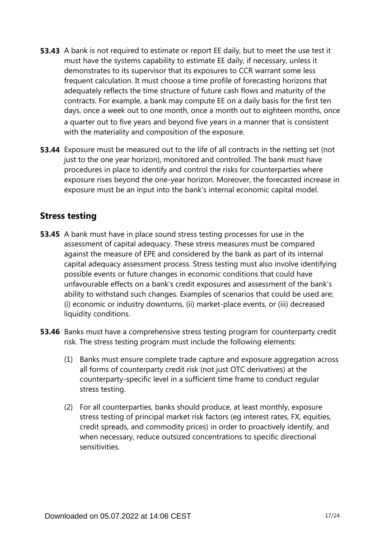- **53.43** A bank is not required to estimate or report EE daily, but to meet the use test it must have the systems capability to estimate EE daily, if necessary, unless it demonstrates to its supervisor that its exposures to CCR warrant some less frequent calculation. It must choose a time profile of forecasting horizons that adequately reflects the time structure of future cash flows and maturity of the contracts. For example, a bank may compute EE on a daily basis for the first ten days, once a week out to one month, once a month out to eighteen months, once a quarter out to five years and beyond five years in a manner that is consistent with the materiality and composition of the exposure.
- **53.44** Exposure must be measured out to the life of all contracts in the netting set (not just to the one year horizon), monitored and controlled. The bank must have procedures in place to identify and control the risks for counterparties where exposure rises beyond the one-year horizon. Moreover, the forecasted increase in exposure must be an input into the bank's internal economic capital model.

## **Stress testing**

- **53.45** A bank must have in place sound stress testing processes for use in the assessment of capital adequacy. These stress measures must be compared against the measure of EPE and considered by the bank as part of its internal capital adequacy assessment process. Stress testing must also involve identifying possible events or future changes in economic conditions that could have unfavourable effects on a bank's credit exposures and assessment of the bank's ability to withstand such changes. Examples of scenarios that could be used are; (i) economic or industry downturns, (ii) market-place events, or (iii) decreased liquidity conditions.
- **53.46** Banks must have a comprehensive stress testing program for counterparty credit risk. The stress testing program must include the following elements:
	- (1) Banks must ensure complete trade capture and exposure aggregation across all forms of counterparty credit risk (not just OTC derivatives) at the counterparty-specific level in a sufficient time frame to conduct regular stress testing.
	- (2) For all counterparties, banks should produce, at least monthly, exposure stress testing of principal market risk factors (eg interest rates, FX, equities, credit spreads, and commodity prices) in order to proactively identify, and when necessary, reduce outsized concentrations to specific directional sensitivities.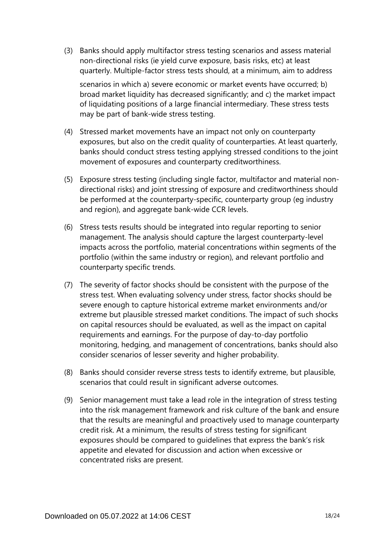- (3) Banks should apply multifactor stress testing scenarios and assess material non-directional risks (ie yield curve exposure, basis risks, etc) at least quarterly. Multiple-factor stress tests should, at a minimum, aim to address scenarios in which a) severe economic or market events have occurred; b) broad market liquidity has decreased significantly; and c) the market impact of liquidating positions of a large financial intermediary. These stress tests may be part of bank-wide stress testing.
- (4) Stressed market movements have an impact not only on counterparty exposures, but also on the credit quality of counterparties. At least quarterly, banks should conduct stress testing applying stressed conditions to the joint movement of exposures and counterparty creditworthiness.
- (5) Exposure stress testing (including single factor, multifactor and material nondirectional risks) and joint stressing of exposure and creditworthiness should be performed at the counterparty-specific, counterparty group (eg industry and region), and aggregate bank-wide CCR levels.
- (6) Stress tests results should be integrated into regular reporting to senior management. The analysis should capture the largest counterparty-level impacts across the portfolio, material concentrations within segments of the portfolio (within the same industry or region), and relevant portfolio and counterparty specific trends.
- (7) The severity of factor shocks should be consistent with the purpose of the stress test. When evaluating solvency under stress, factor shocks should be severe enough to capture historical extreme market environments and/or extreme but plausible stressed market conditions. The impact of such shocks on capital resources should be evaluated, as well as the impact on capital requirements and earnings. For the purpose of day-to-day portfolio monitoring, hedging, and management of concentrations, banks should also consider scenarios of lesser severity and higher probability.
- (8) Banks should consider reverse stress tests to identify extreme, but plausible, scenarios that could result in significant adverse outcomes.
- (9) Senior management must take a lead role in the integration of stress testing into the risk management framework and risk culture of the bank and ensure that the results are meaningful and proactively used to manage counterparty credit risk. At a minimum, the results of stress testing for significant exposures should be compared to guidelines that express the bank's risk appetite and elevated for discussion and action when excessive or concentrated risks are present.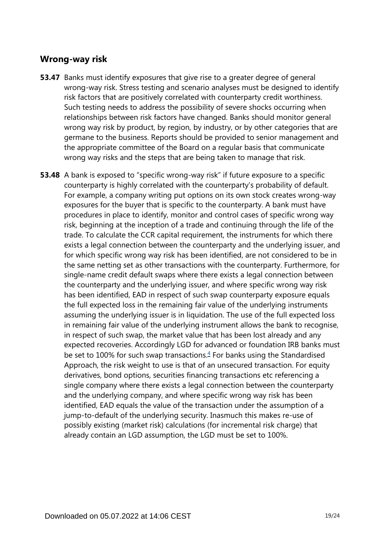#### **Wrong-way risk**

- **53.47** Banks must identify exposures that give rise to a greater degree of general wrong-way risk. Stress testing and scenario analyses must be designed to identify risk factors that are positively correlated with counterparty credit worthiness. Such testing needs to address the possibility of severe shocks occurring when relationships between risk factors have changed. Banks should monitor general wrong way risk by product, by region, by industry, or by other categories that are germane to the business. Reports should be provided to senior management and the appropriate committee of the Board on a regular basis that communicate wrong way risks and the steps that are being taken to manage that risk.
- <span id="page-18-0"></span>**53.48** A bank is exposed to "specific wrong-way risk" if future exposure to a specific counterparty is highly correlated with the counterparty's probability of default. For example, a company writing put options on its own stock creates wrong-way exposures for the buyer that is specific to the counterparty. A bank must have procedures in place to identify, monitor and control cases of specific wrong way risk, beginning at the inception of a trade and continuing through the life of the trade. To calculate the CCR capital requirement, the instruments for which there exists a legal connection between the counterparty and the underlying issuer, and for which specific wrong way risk has been identified, are not considered to be in the same netting set as other transactions with the counterparty. Furthermore, for single-name credit default swaps where there exists a legal connection between the counterparty and the underlying issuer, and where specific wrong way risk has been identified, EAD in respect of such swap counterparty exposure equals the full expected loss in the remaining fair value of the underlying instruments assuming the underlying issuer is in liquidation. The use of the full expected loss in remaining fair value of the underlying instrument allows the bank to recognise, in respect of such swap, the market value that has been lost already and any expected recoveries. Accordingly LGD for advanced or foundation IRB banks must be set to 100% for such swap transactions. $4$  For banks using the Standardised Approach, the risk weight to use is that of an unsecured transaction. For equity derivatives, bond options, securities financing transactions etc referencing a single company where there exists a legal connection between the counterparty and the underlying company, and where specific wrong way risk has been identified, EAD equals the value of the transaction under the assumption of a jump-to-default of the underlying security. Inasmuch this makes re-use of possibly existing (market risk) calculations (for incremental risk charge) that already contain an LGD assumption, the LGD must be set to 100%.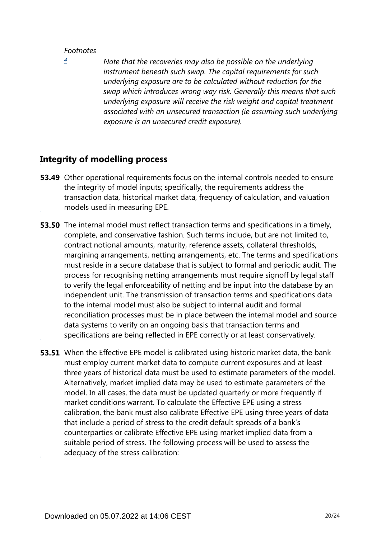#### *Footnotes*

<span id="page-19-0"></span>*[4](#page-18-0)*

*Note that the recoveries may also be possible on the underlying instrument beneath such swap. The capital requirements for such underlying exposure are to be calculated without reduction for the swap which introduces wrong way risk. Generally this means that such underlying exposure will receive the risk weight and capital treatment associated with an unsecured transaction (ie assuming such underlying exposure is an unsecured credit exposure).*

### **Integrity of modelling process**

- **53.49** Other operational requirements focus on the internal controls needed to ensure the integrity of model inputs; specifically, the requirements address the transaction data, historical market data, frequency of calculation, and valuation models used in measuring EPE.
- **53.50** The internal model must reflect transaction terms and specifications in a timely, complete, and conservative fashion. Such terms include, but are not limited to, contract notional amounts, maturity, reference assets, collateral thresholds, margining arrangements, netting arrangements, etc. The terms and specifications must reside in a secure database that is subject to formal and periodic audit. The process for recognising netting arrangements must require signoff by legal staff to verify the legal enforceability of netting and be input into the database by an independent unit. The transmission of transaction terms and specifications data to the internal model must also be subject to internal audit and formal reconciliation processes must be in place between the internal model and source data systems to verify on an ongoing basis that transaction terms and specifications are being reflected in EPE correctly or at least conservatively.
- **53.51** When the Effective EPE model is calibrated using historic market data, the bank must employ current market data to compute current exposures and at least three years of historical data must be used to estimate parameters of the model. Alternatively, market implied data may be used to estimate parameters of the model. In all cases, the data must be updated quarterly or more frequently if market conditions warrant. To calculate the Effective EPE using a stress calibration, the bank must also calibrate Effective EPE using three years of data that include a period of stress to the credit default spreads of a bank's counterparties or calibrate Effective EPE using market implied data from a suitable period of stress. The following process will be used to assess the adequacy of the stress calibration: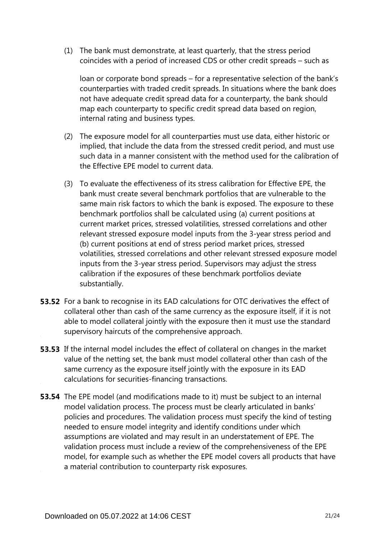(1) The bank must demonstrate, at least quarterly, that the stress period coincides with a period of increased CDS or other credit spreads – such as

loan or corporate bond spreads – for a representative selection of the bank's counterparties with traded credit spreads. In situations where the bank does not have adequate credit spread data for a counterparty, the bank should map each counterparty to specific credit spread data based on region, internal rating and business types.

- (2) The exposure model for all counterparties must use data, either historic or implied, that include the data from the stressed credit period, and must use such data in a manner consistent with the method used for the calibration of the Effective EPE model to current data.
- (3) To evaluate the effectiveness of its stress calibration for Effective EPE, the bank must create several benchmark portfolios that are vulnerable to the same main risk factors to which the bank is exposed. The exposure to these benchmark portfolios shall be calculated using (a) current positions at current market prices, stressed volatilities, stressed correlations and other relevant stressed exposure model inputs from the 3-year stress period and (b) current positions at end of stress period market prices, stressed volatilities, stressed correlations and other relevant stressed exposure model inputs from the 3-year stress period. Supervisors may adjust the stress calibration if the exposures of these benchmark portfolios deviate substantially.
- **53.52** For a bank to recognise in its EAD calculations for OTC derivatives the effect of collateral other than cash of the same currency as the exposure itself, if it is not able to model collateral jointly with the exposure then it must use the standard supervisory haircuts of the comprehensive approach.
- **53.53** If the internal model includes the effect of collateral on changes in the market value of the netting set, the bank must model collateral other than cash of the same currency as the exposure itself jointly with the exposure in its EAD calculations for securities-financing transactions.
- **53.54** The EPE model (and modifications made to it) must be subject to an internal model validation process. The process must be clearly articulated in banks' policies and procedures. The validation process must specify the kind of testing needed to ensure model integrity and identify conditions under which assumptions are violated and may result in an understatement of EPE. The validation process must include a review of the comprehensiveness of the EPE model, for example such as whether the EPE model covers all products that have a material contribution to counterparty risk exposures.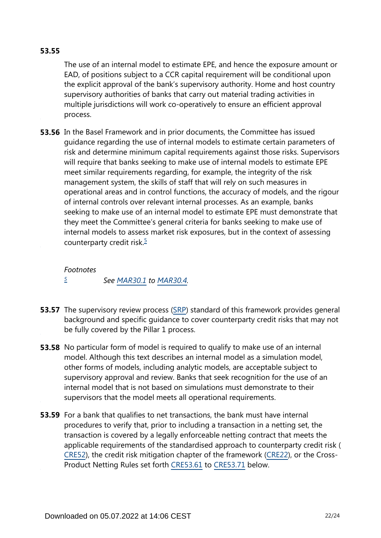#### **53.55**

The use of an internal model to estimate EPE, and hence the exposure amount or EAD, of positions subject to a CCR capital requirement will be conditional upon the explicit approval of the bank's supervisory authority. Home and host country supervisory authorities of banks that carry out material trading activities in multiple jurisdictions will work co-operatively to ensure an efficient approval process.

**53.56** In the Basel Framework and in prior documents, the Committee has issued guidance regarding the use of internal models to estimate certain parameters of risk and determine minimum capital requirements against those risks. Supervisors will require that banks seeking to make use of internal models to estimate EPE meet similar requirements regarding, for example, the integrity of the risk management system, the skills of staff that will rely on such measures in operational areas and in control functions, the accuracy of models, and the rigour of internal controls over relevant internal processes. As an example, banks seeking to make use of an internal model to estimate EPE must demonstrate that they meet the Committee's general criteria for banks seeking to make use of internal models to assess market risk exposures, but in the context of assessing counterparty credit risk. $\frac{5}{5}$  $\frac{5}{5}$  $\frac{5}{5}$ 

#### <span id="page-21-1"></span>*Footnotes*

*[5](#page-21-1)*

*See [MAR30.1](https://www.bis.org/basel_framework/chapter/MAR/30.htm?tldate=20230101&inforce=20230101&published=20200327#paragraph_MAR_30_20230101_30_1) to [MAR30.4](https://www.bis.org/basel_framework/chapter/MAR/30.htm?tldate=20230101&inforce=20230101&published=20200327#paragraph_MAR_30_20230101_30_4).*

- <span id="page-21-0"></span>**53.57** The supervisory review process ([SRP\)](https://www.bis.org/basel_framework/standard/SRP.htm?tldate=20230101) standard of this framework provides general background and specific guidance to cover counterparty credit risks that may not be fully covered by the Pillar 1 process.
- **53.58** No particular form of model is required to qualify to make use of an internal model. Although this text describes an internal model as a simulation model, other forms of models, including analytic models, are acceptable subject to supervisory approval and review. Banks that seek recognition for the use of an internal model that is not based on simulations must demonstrate to their supervisors that the model meets all operational requirements.
- **53.59** For a bank that qualifies to net transactions, the bank must have internal procedures to verify that, prior to including a transaction in a netting set, the transaction is covered by a legally enforceable netting contract that meets the applicable requirements of the standardised approach to counterparty credit risk ( [CRE52\)](https://www.bis.org/basel_framework/chapter/CRE/52.htm?tldate=20230101&inforce=20230101&published=20200605), the credit risk mitigation chapter of the framework ([CRE22](https://www.bis.org/basel_framework/chapter/CRE/22.htm?tldate=20230101&inforce=20230101&published=20201126)), or the Cross-Product Netting Rules set forth [CRE53.61](https://www.bis.org/basel_framework/chapter/CRE/53.htm?tldate=20230101&inforce=20230101&published=20200605#paragraph_CRE_53_20230101_53_61) to [CRE53.71](https://www.bis.org/basel_framework/chapter/CRE/53.htm?tldate=20230101&inforce=20230101&published=20200605#paragraph_CRE_53_20230101_53_71) below.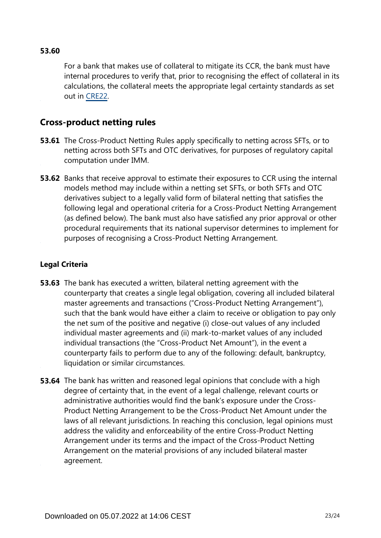#### **53.60**

For a bank that makes use of collateral to mitigate its CCR, the bank must have internal procedures to verify that, prior to recognising the effect of collateral in its calculations, the collateral meets the appropriate legal certainty standards as set out in [CRE22.](https://www.bis.org/basel_framework/chapter/CRE/22.htm?tldate=20230101&inforce=20230101&published=20201126)

#### **Cross-product netting rules**

- **53.61** The Cross-Product Netting Rules apply specifically to netting across SFTs, or to netting across both SFTs and OTC derivatives, for purposes of regulatory capital computation under IMM.
- **53.62** Banks that receive approval to estimate their exposures to CCR using the internal models method may include within a netting set SFTs, or both SFTs and OTC derivatives subject to a legally valid form of bilateral netting that satisfies the following legal and operational criteria for a Cross-Product Netting Arrangement (as defined below). The bank must also have satisfied any prior approval or other procedural requirements that its national supervisor determines to implement for purposes of recognising a Cross-Product Netting Arrangement.

#### **Legal Criteria**

- **53.63** The bank has executed a written, bilateral netting agreement with the counterparty that creates a single legal obligation, covering all included bilateral master agreements and transactions ("Cross-Product Netting Arrangement"), such that the bank would have either a claim to receive or obligation to pay only the net sum of the positive and negative (i) close-out values of any included individual master agreements and (ii) mark-to-market values of any included individual transactions (the "Cross-Product Net Amount"), in the event a counterparty fails to perform due to any of the following: default, bankruptcy, liquidation or similar circumstances.
- **53.64** The bank has written and reasoned legal opinions that conclude with a high degree of certainty that, in the event of a legal challenge, relevant courts or administrative authorities would find the bank's exposure under the Cross-Product Netting Arrangement to be the Cross-Product Net Amount under the laws of all relevant jurisdictions. In reaching this conclusion, legal opinions must address the validity and enforceability of the entire Cross-Product Netting Arrangement under its terms and the impact of the Cross-Product Netting Arrangement on the material provisions of any included bilateral master agreement.